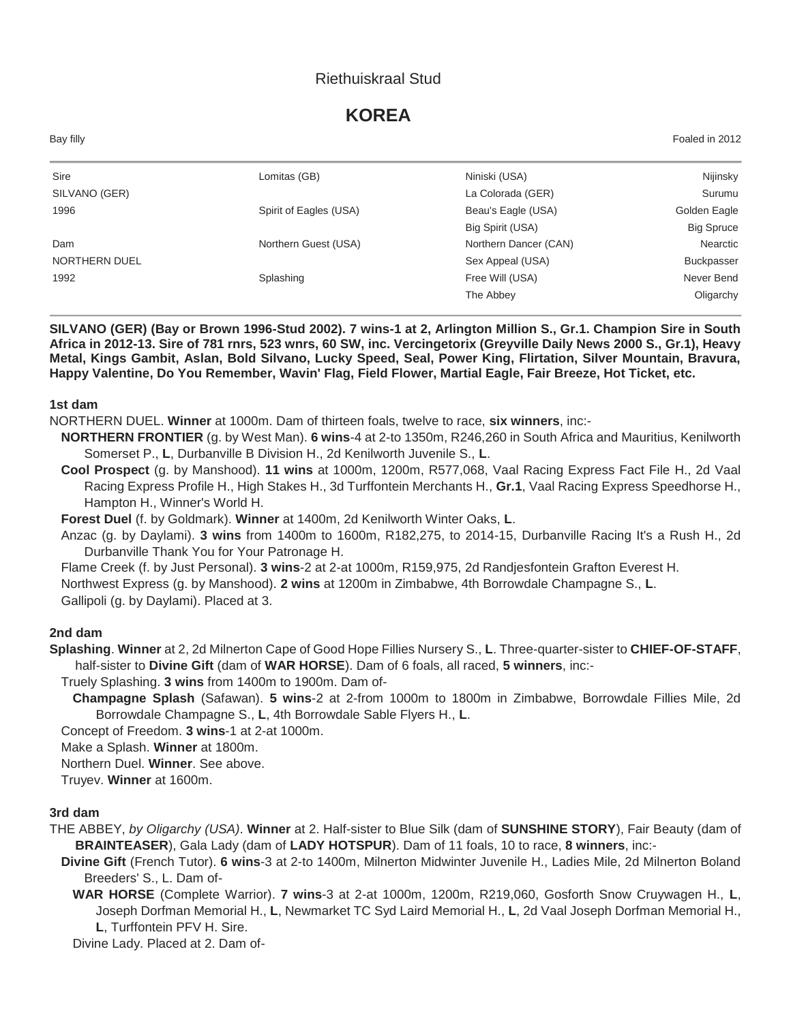### Riethuiskraal Stud

# **KOREA**

Bay filly Foaled in 2012

| Sire                 | Lomitas (GB)           | Niniski (USA)         | Nijinsky          |
|----------------------|------------------------|-----------------------|-------------------|
| SILVANO (GER)        |                        | La Colorada (GER)     | Surumu            |
| 1996                 | Spirit of Eagles (USA) | Beau's Eagle (USA)    | Golden Eagle      |
|                      |                        | Big Spirit (USA)      | <b>Big Spruce</b> |
| Dam                  | Northern Guest (USA)   | Northern Dancer (CAN) | Nearctic          |
| <b>NORTHERN DUEL</b> |                        | Sex Appeal (USA)      | <b>Buckpasser</b> |
| 1992                 | Splashing              | Free Will (USA)       | Never Bend        |
|                      |                        | The Abbey             | Oligarchy         |

**SILVANO (GER) (Bay or Brown 1996-Stud 2002). 7 wins-1 at 2, Arlington Million S., Gr.1. Champion Sire in South Africa in 2012-13. Sire of 781 rnrs, 523 wnrs, 60 SW, inc. Vercingetorix (Greyville Daily News 2000 S., Gr.1), Heavy Metal, Kings Gambit, Aslan, Bold Silvano, Lucky Speed, Seal, Power King, Flirtation, Silver Mountain, Bravura, Happy Valentine, Do You Remember, Wavin' Flag, Field Flower, Martial Eagle, Fair Breeze, Hot Ticket, etc.**

#### **1st dam**

NORTHERN DUEL. **Winner** at 1000m. Dam of thirteen foals, twelve to race, **six winners**, inc:-

- **NORTHERN FRONTIER** (g. by West Man). **6 wins**-4 at 2-to 1350m, R246,260 in South Africa and Mauritius, Kenilworth Somerset P., **L**, Durbanville B Division H., 2d Kenilworth Juvenile S., **L**.
- **Cool Prospect** (g. by Manshood). **11 wins** at 1000m, 1200m, R577,068, Vaal Racing Express Fact File H., 2d Vaal Racing Express Profile H., High Stakes H., 3d Turffontein Merchants H., **Gr.1**, Vaal Racing Express Speedhorse H., Hampton H., Winner's World H.

**Forest Duel** (f. by Goldmark). **Winner** at 1400m, 2d Kenilworth Winter Oaks, **L**.

- Anzac (g. by Daylami). **3 wins** from 1400m to 1600m, R182,275, to 2014-15, Durbanville Racing It's a Rush H., 2d Durbanville Thank You for Your Patronage H.
- Flame Creek (f. by Just Personal). **3 wins**-2 at 2-at 1000m, R159,975, 2d Randjesfontein Grafton Everest H.

Northwest Express (g. by Manshood). **2 wins** at 1200m in Zimbabwe, 4th Borrowdale Champagne S., **L**.

Gallipoli (g. by Daylami). Placed at 3.

#### **2nd dam**

**Splashing**. **Winner** at 2, 2d Milnerton Cape of Good Hope Fillies Nursery S., **L**. Three-quarter-sister to **CHIEF-OF-STAFF**, half-sister to **Divine Gift** (dam of **WAR HORSE**). Dam of 6 foals, all raced, **5 winners**, inc:-

Truely Splashing. **3 wins** from 1400m to 1900m. Dam of-

**Champagne Splash** (Safawan). **5 wins**-2 at 2-from 1000m to 1800m in Zimbabwe, Borrowdale Fillies Mile, 2d Borrowdale Champagne S., **L**, 4th Borrowdale Sable Flyers H., **L**.

Concept of Freedom. **3 wins**-1 at 2-at 1000m.

Make a Splash. **Winner** at 1800m.

Northern Duel. **Winner**. See above.

Truyev. **Winner** at 1600m.

#### **3rd dam**

THE ABBEY, *by Oligarchy (USA)*. **Winner** at 2. Half-sister to Blue Silk (dam of **SUNSHINE STORY**), Fair Beauty (dam of **BRAINTEASER**), Gala Lady (dam of **LADY HOTSPUR**). Dam of 11 foals, 10 to race, **8 winners**, inc:-

**Divine Gift** (French Tutor). **6 wins**-3 at 2-to 1400m, Milnerton Midwinter Juvenile H., Ladies Mile, 2d Milnerton Boland Breeders' S., L. Dam of-

**WAR HORSE** (Complete Warrior). **7 wins**-3 at 2-at 1000m, 1200m, R219,060, Gosforth Snow Cruywagen H., **L**, Joseph Dorfman Memorial H., **L**, Newmarket TC Syd Laird Memorial H., **L**, 2d Vaal Joseph Dorfman Memorial H., **L**, Turffontein PFV H. Sire.

Divine Lady. Placed at 2. Dam of-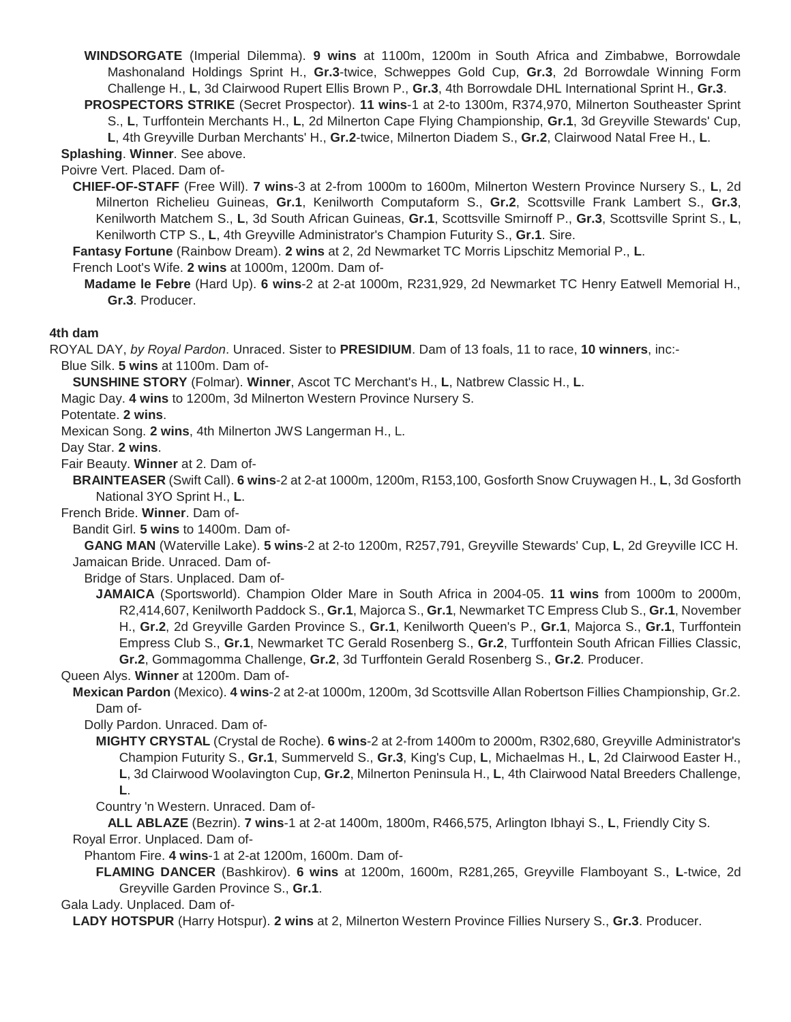**WINDSORGATE** (Imperial Dilemma). **9 wins** at 1100m, 1200m in South Africa and Zimbabwe, Borrowdale Mashonaland Holdings Sprint H., **Gr.3**-twice, Schweppes Gold Cup, **Gr.3**, 2d Borrowdale Winning Form Challenge H., **L**, 3d Clairwood Rupert Ellis Brown P., **Gr.3**, 4th Borrowdale DHL International Sprint H., **Gr.3**.

**PROSPECTORS STRIKE** (Secret Prospector). **11 wins**-1 at 2-to 1300m, R374,970, Milnerton Southeaster Sprint S., **L**, Turffontein Merchants H., **L**, 2d Milnerton Cape Flying Championship, **Gr.1**, 3d Greyville Stewards' Cup,

**L**, 4th Greyville Durban Merchants' H., **Gr.2**-twice, Milnerton Diadem S., **Gr.2**, Clairwood Natal Free H., **L**.

**Splashing**. **Winner**. See above.

Poivre Vert. Placed. Dam of-

**CHIEF-OF-STAFF** (Free Will). **7 wins**-3 at 2-from 1000m to 1600m, Milnerton Western Province Nursery S., **L**, 2d Milnerton Richelieu Guineas, **Gr.1**, Kenilworth Computaform S., **Gr.2**, Scottsville Frank Lambert S., **Gr.3**, Kenilworth Matchem S., **L**, 3d South African Guineas, **Gr.1**, Scottsville Smirnoff P., **Gr.3**, Scottsville Sprint S., **L**, Kenilworth CTP S., **L**, 4th Greyville Administrator's Champion Futurity S., **Gr.1**. Sire.

**Fantasy Fortune** (Rainbow Dream). **2 wins** at 2, 2d Newmarket TC Morris Lipschitz Memorial P., **L**.

French Loot's Wife. **2 wins** at 1000m, 1200m. Dam of-

**Madame le Febre** (Hard Up). **6 wins**-2 at 2-at 1000m, R231,929, 2d Newmarket TC Henry Eatwell Memorial H., **Gr.3**. Producer.

#### **4th dam**

ROYAL DAY, *by Royal Pardon*. Unraced. Sister to **PRESIDIUM**. Dam of 13 foals, 11 to race, **10 winners**, inc:- Blue Silk. **5 wins** at 1100m. Dam of-

**SUNSHINE STORY** (Folmar). **Winner**, Ascot TC Merchant's H., **L**, Natbrew Classic H., **L**.

Magic Day. **4 wins** to 1200m, 3d Milnerton Western Province Nursery S.

Potentate. **2 wins**.

Mexican Song. **2 wins**, 4th Milnerton JWS Langerman H., L.

Day Star. **2 wins**.

Fair Beauty. **Winner** at 2. Dam of-

**BRAINTEASER** (Swift Call). **6 wins**-2 at 2-at 1000m, 1200m, R153,100, Gosforth Snow Cruywagen H., **L**, 3d Gosforth National 3YO Sprint H., **L**.

French Bride. **Winner**. Dam of-

Bandit Girl. **5 wins** to 1400m. Dam of-

**GANG MAN** (Waterville Lake). **5 wins**-2 at 2-to 1200m, R257,791, Greyville Stewards' Cup, **L**, 2d Greyville ICC H. Jamaican Bride. Unraced. Dam of-

Bridge of Stars. Unplaced. Dam of-

**JAMAICA** (Sportsworld). Champion Older Mare in South Africa in 2004-05. **11 wins** from 1000m to 2000m, R2,414,607, Kenilworth Paddock S., **Gr.1**, Majorca S., **Gr.1**, Newmarket TC Empress Club S., **Gr.1**, November H., **Gr.2**, 2d Greyville Garden Province S., **Gr.1**, Kenilworth Queen's P., **Gr.1**, Majorca S., **Gr.1**, Turffontein Empress Club S., **Gr.1**, Newmarket TC Gerald Rosenberg S., **Gr.2**, Turffontein South African Fillies Classic, **Gr.2**, Gommagomma Challenge, **Gr.2**, 3d Turffontein Gerald Rosenberg S., **Gr.2**. Producer.

Queen Alys. **Winner** at 1200m. Dam of-

**Mexican Pardon** (Mexico). **4 wins**-2 at 2-at 1000m, 1200m, 3d Scottsville Allan Robertson Fillies Championship, Gr.2. Dam of-

Dolly Pardon. Unraced. Dam of-

**MIGHTY CRYSTAL** (Crystal de Roche). **6 wins**-2 at 2-from 1400m to 2000m, R302,680, Greyville Administrator's Champion Futurity S., **Gr.1**, Summerveld S., **Gr.3**, King's Cup, **L**, Michaelmas H., **L**, 2d Clairwood Easter H., **L**, 3d Clairwood Woolavington Cup, **Gr.2**, Milnerton Peninsula H., **L**, 4th Clairwood Natal Breeders Challenge, **L**.

Country 'n Western. Unraced. Dam of-

**ALL ABLAZE** (Bezrin). **7 wins**-1 at 2-at 1400m, 1800m, R466,575, Arlington Ibhayi S., **L**, Friendly City S. Royal Error. Unplaced. Dam of-

Phantom Fire. **4 wins**-1 at 2-at 1200m, 1600m. Dam of-

**FLAMING DANCER** (Bashkirov). **6 wins** at 1200m, 1600m, R281,265, Greyville Flamboyant S., **L**-twice, 2d Greyville Garden Province S., **Gr.1**.

Gala Lady. Unplaced. Dam of-

**LADY HOTSPUR** (Harry Hotspur). **2 wins** at 2, Milnerton Western Province Fillies Nursery S., **Gr.3**. Producer.